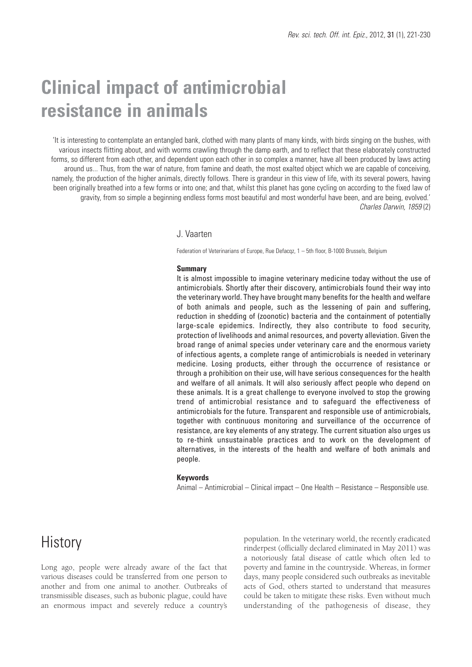# **Clinical impact of antimicrobial resistance in animals**

'It is interesting to contemplate an entangled bank, clothed with many plants of many kinds, with birds singing on the bushes, with various insects flitting about, and with worms crawling through the damp earth, and to reflect that these elaborately constructed forms, so different from each other, and dependent upon each other in so complex a manner, have all been produced by laws acting around us... Thus, from the war of nature, from famine and death, the most exalted object which we are capable of conceiving, namely, the production of the higher animals, directly follows. There is grandeur in this view of life, with its several powers, having been originally breathed into a few forms or into one; and that, whilst this planet has gone cycling on according to the fixed law of gravity, from so simple a beginning endless forms most beautiful and most wonderful have been, and are being, evolved.' Charles Darwin, 1859 (2)

### J. Vaarten

Federation of Veterinarians of Europe, Rue Defacqz, 1 – 5th floor, B-1000 Brussels, Belgium

#### **Summary**

It is almost impossible to imagine veterinary medicine today without the use of antimicrobials. Shortly after their discovery, antimicrobials found their way into the veterinary world. They have brought many benefits for the health and welfare of both animals and people, such as the lessening of pain and suffering, reduction in shedding of (zoonotic) bacteria and the containment of potentially large-scale epidemics. Indirectly, they also contribute to food security, protection of livelihoods and animal resources, and poverty alleviation. Given the broad range of animal species under veterinary care and the enormous variety of infectious agents, a complete range of antimicrobials is needed in veterinary medicine. Losing products, either through the occurrence of resistance or through a prohibition on their use, will have serious consequences for the health and welfare of all animals. It will also seriously affect people who depend on these animals. It is a great challenge to everyone involved to stop the growing trend of antimicrobial resistance and to safeguard the effectiveness of antimicrobials for the future. Transparent and responsible use of antimicrobials, together with continuous monitoring and surveillance of the occurrence of resistance, are key elements of any strategy. The current situation also urges us to re-think unsustainable practices and to work on the development of alternatives, in the interests of the health and welfare of both animals and people.

#### **Keywords**

Animal – Antimicrobial – Clinical impact – One Health – Resistance – Responsible use.

## **History**

Long ago, people were already aware of the fact that various diseases could be transferred from one person to another and from one animal to another. Outbreaks of transmissible diseases, such as bubonic plague, could have an enormous impact and severely reduce a country's population. In the veterinary world, the recently eradicated rinderpest (officially declared eliminated in May 2011) was a notoriously fatal disease of cattle which often led to poverty and famine in the countryside. Whereas, in former days, many people considered such outbreaks as inevitable acts of God, others started to understand that measures could be taken to mitigate these risks. Even without much understanding of the pathogenesis of disease, they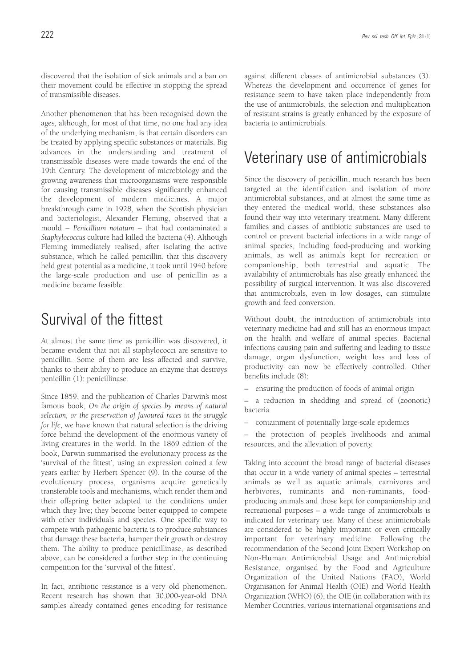discovered that the isolation of sick animals and a ban on their movement could be effective in stopping the spread of transmissible diseases.

Another phenomenon that has been recognised down the ages, although, for most of that time, no one had any idea of the underlying mechanism, is that certain disorders can be treated by applying specific substances or materials. Big advances in the understanding and treatment of transmissible diseases were made towards the end of the 19th Century. The development of microbiology and the growing awareness that microorganisms were responsible for causing transmissible diseases significantly enhanced the development of modern medicines. A major breakthrough came in 1928, when the Scottish physician and bacteriologist, Alexander Fleming, observed that a mould – *Penicillium notatum* – that had contaminated a *Staphylococcus* culture had killed the bacteria (4). Although Fleming immediately realised, after isolating the active substance, which he called penicillin, that this discovery held great potential as a medicine, it took until 1940 before the large-scale production and use of penicillin as a medicine became feasible.

### Survival of the fittest

At almost the same time as penicillin was discovered, it became evident that not all staphylococci are sensitive to penicillin. Some of them are less affected and survive, thanks to their ability to produce an enzyme that destroys penicillin (1): penicillinase.

Since 1859, and the publication of Charles Darwin's most famous book, *On the origin of species by means of natural selection, or the preservation of favoured races in the struggle for life*, we have known that natural selection is the driving force behind the development of the enormous variety of living creatures in the world. In the 1869 edition of the book, Darwin summarised the evolutionary process as the 'survival of the fittest', using an expression coined a few years earlier by Herbert Spencer (9). In the course of the evolutionary process, organisms acquire genetically transferable tools and mechanisms, which render them and their offspring better adapted to the conditions under which they live; they become better equipped to compete with other individuals and species. One specific way to compete with pathogenic bacteria is to produce substances that damage these bacteria, hamper their growth or destroy them. The ability to produce penicillinase, as described above, can be considered a further step in the continuing competition for the 'survival of the fittest'.

In fact, antibiotic resistance is a very old phenomenon. Recent research has shown that 30,000-year-old DNA samples already contained genes encoding for resistance against different classes of antimicrobial substances (3). Whereas the development and occurrence of genes for resistance seem to have taken place independently from the use of antimicrobials, the selection and multiplication of resistant strains is greatly enhanced by the exposure of bacteria to antimicrobials.

### Veterinary use of antimicrobials

Since the discovery of penicillin, much research has been targeted at the identification and isolation of more antimicrobial substances, and at almost the same time as they entered the medical world, these substances also found their way into veterinary treatment. Many different families and classes of antibiotic substances are used to control or prevent bacterial infections in a wide range of animal species, including food-producing and working animals, as well as animals kept for recreation or companionship, both terrestrial and aquatic. The availability of antimicrobials has also greatly enhanced the possibility of surgical intervention. It was also discovered that antimicrobials, even in low dosages, can stimulate growth and feed conversion.

Without doubt, the introduction of antimicrobials into veterinary medicine had and still has an enormous impact on the health and welfare of animal species. Bacterial infections causing pain and suffering and leading to tissue damage, organ dysfunction, weight loss and loss of productivity can now be effectively controlled. Other benefits include (8):

– ensuring the production of foods of animal origin

– a reduction in shedding and spread of (zoonotic) bacteria

– containment of potentially large-scale epidemics

– the protection of people's livelihoods and animal resources, and the alleviation of poverty.

Taking into account the broad range of bacterial diseases that occur in a wide variety of animal species – terrestrial animals as well as aquatic animals, carnivores and herbivores, ruminants and non-ruminants, foodproducing animals and those kept for companionship and recreational purposes – a wide range of antimicrobials is indicated for veterinary use. Many of these antimicrobials are considered to be highly important or even critically important for veterinary medicine. Following the recommendation of the Second Joint Expert Workshop on Non-Human Antimicrobial Usage and Antimicrobial Resistance, organised by the Food and Agriculture Organization of the United Nations (FAO), World Organisation for Animal Health (OIE) and World Health Organization (WHO) (6), the OIE (in collaboration with its Member Countries, various international organisations and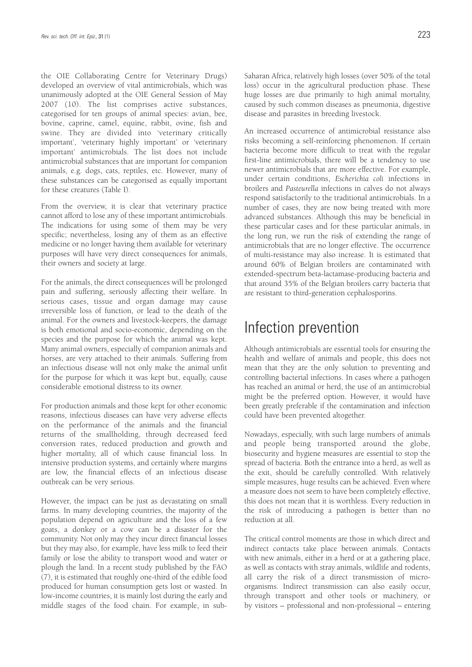the OIE Collaborating Centre for Veterinary Drugs) developed an overview of vital antimicrobials, which was unanimously adopted at the OIE General Session of May 2007 (10). The list comprises active substances, categorised for ten groups of animal species: avian, bee, bovine, caprine, camel, equine, rabbit, ovine, fish and swine. They are divided into 'veterinary critically important', 'veterinary highly important' or 'veterinary important' antimicrobials. The list does not include antimicrobial substances that are important for companion animals, e.g. dogs, cats, reptiles, etc. However, many of these substances can be categorised as equally important for these creatures (Table I).

From the overview, it is clear that veterinary practice cannot afford to lose any of these important antimicrobials. The indications for using some of them may be very specific; nevertheless, losing any of them as an effective medicine or no longer having them available for veterinary purposes will have very direct consequences for animals, their owners and society at large.

For the animals, the direct consequences will be prolonged pain and suffering, seriously affecting their welfare. In serious cases, tissue and organ damage may cause irreversible loss of function, or lead to the death of the animal. For the owners and livestock-keepers, the damage is both emotional and socio-economic, depending on the species and the purpose for which the animal was kept. Many animal owners, especially of companion animals and horses, are very attached to their animals. Suffering from an infectious disease will not only make the animal unfit for the purpose for which it was kept but, equally, cause considerable emotional distress to its owner.

For production animals and those kept for other economic reasons, infectious diseases can have very adverse effects on the performance of the animals and the financial returns of the smallholding, through decreased feed conversion rates, reduced production and growth and higher mortality, all of which cause financial loss. In intensive production systems, and certainly where margins are low, the financial effects of an infectious disease outbreak can be very serious.

However, the impact can be just as devastating on small farms. In many developing countries, the majority of the population depend on agriculture and the loss of a few goats, a donkey or a cow can be a disaster for the community. Not only may they incur direct financial losses but they may also, for example, have less milk to feed their family or lose the ability to transport wood and water or plough the land. In a recent study published by the FAO (7), it is estimated that roughly one-third of the edible food produced for human consumption gets lost or wasted. In low-income countries, it is mainly lost during the early and middle stages of the food chain. For example, in subSaharan Africa, relatively high losses (over 50% of the total loss) occur in the agricultural production phase. These huge losses are due primarily to high animal mortality, caused by such common diseases as pneumonia, digestive disease and parasites in breeding livestock.

An increased occurrence of antimicrobial resistance also risks becoming a self-reinforcing phenomenon. If certain bacteria become more difficult to treat with the regular first-line antimicrobials, there will be a tendency to use newer antimicrobials that are more effective. For example, under certain conditions, *Escherichia coli* infections in broilers and *Pasteurella* infections in calves do not always respond satisfactorily to the traditional antimicrobials. In a number of cases, they are now being treated with more advanced substances. Although this may be beneficial in these particular cases and for these particular animals, in the long run, we run the risk of extending the range of antimicrobials that are no longer effective. The occurrence of multi-resistance may also increase. It is estimated that around 60% of Belgian broilers are contaminated with extended-spectrum beta-lactamase-producing bacteria and that around 35% of the Belgian broilers carry bacteria that are resistant to third-generation cephalosporins.

### Infection prevention

Although antimicrobials are essential tools for ensuring the health and welfare of animals and people, this does not mean that they are the only solution to preventing and controlling bacterial infections. In cases where a pathogen has reached an animal or herd, the use of an antimicrobial might be the preferred option. However, it would have been greatly preferable if the contamination and infection could have been prevented altogether.

Nowadays, especially, with such large numbers of animals and people being transported around the globe, biosecurity and hygiene measures are essential to stop the spread of bacteria. Both the entrance into a herd, as well as the exit, should be carefully controlled. With relatively simple measures, huge results can be achieved. Even where a measure does not seem to have been completely effective, this does not mean that it is worthless. Every reduction in the risk of introducing a pathogen is better than no reduction at all.

The critical control moments are those in which direct and indirect contacts take place between animals. Contacts with new animals, either in a herd or at a gathering place, as well as contacts with stray animals, wildlife and rodents, all carry the risk of a direct transmission of microorganisms. Indirect transmission can also easily occur, through transport and other tools or machinery, or by visitors – professional and non-professional – entering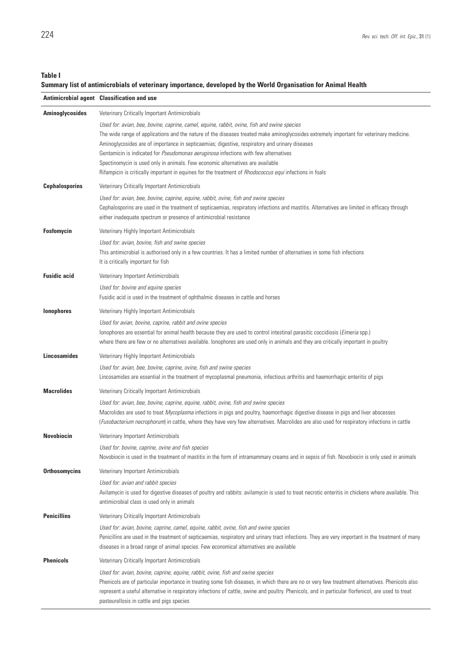### **Table I**

### **Summary list of antimicrobials of veterinary importance, developed by the World Organisation for Animal Health**

|                       | Antimicrobial agent Classification and use                                                                                                                                                                                                                                                                                                                                                                                                                                                                                                                                                                                          |
|-----------------------|-------------------------------------------------------------------------------------------------------------------------------------------------------------------------------------------------------------------------------------------------------------------------------------------------------------------------------------------------------------------------------------------------------------------------------------------------------------------------------------------------------------------------------------------------------------------------------------------------------------------------------------|
| Aminoglycosides       | Veterinary Critically Important Antimicrobials                                                                                                                                                                                                                                                                                                                                                                                                                                                                                                                                                                                      |
|                       | Used for: avian, bee, bovine, caprine, camel, equine, rabbit, ovine, fish and swine species<br>The wide range of applications and the nature of the diseases treated make aminoglycosides extremely important for veterinary medicine.<br>Aminoglycosides are of importance in septicaemias; digestive, respiratory and urinary diseases<br>Gentamicin is indicated for Pseudomonas aeruginosa infections with few alternatives<br>Spectinomycin is used only in animals. Few economic alternatives are available<br>Rifampicin is critically important in equines for the treatment of <i>Rhodococcus equi</i> infections in foals |
| <b>Cephalosporins</b> | Veterinary Critically Important Antimicrobials                                                                                                                                                                                                                                                                                                                                                                                                                                                                                                                                                                                      |
|                       | Used for: avian, bee, bovine, caprine, equine, rabbit, ovine, fish and swine species<br>Cephalosporins are used in the treatment of septicaemias, respiratory infections and mastitis. Alternatives are limited in efficacy through<br>either inadequate spectrum or presence of antimicrobial resistance                                                                                                                                                                                                                                                                                                                           |
| <b>Fosfomycin</b>     | Veterinary Highly Important Antimicrobials                                                                                                                                                                                                                                                                                                                                                                                                                                                                                                                                                                                          |
|                       | Used for: avian, bovine, fish and swine species<br>This antimicrobial is authorised only in a few countries. It has a limited number of alternatives in some fish infections<br>It is critically important for fish                                                                                                                                                                                                                                                                                                                                                                                                                 |
| <b>Fusidic acid</b>   | Veterinary Important Antimicrobials                                                                                                                                                                                                                                                                                                                                                                                                                                                                                                                                                                                                 |
|                       | Used for: bovine and equine species<br>Fusidic acid is used in the treatment of ophthalmic diseases in cattle and horses                                                                                                                                                                                                                                                                                                                                                                                                                                                                                                            |
| <b>Ionophores</b>     | Veterinary Highly Important Antimicrobials                                                                                                                                                                                                                                                                                                                                                                                                                                                                                                                                                                                          |
|                       | Used for avian, bovine, caprine, rabbit and ovine species<br>lonophores are essential for animal health because they are used to control intestinal parasitic coccidiosis ( <i>Eimeria</i> spp.)<br>where there are few or no alternatives available. lonophores are used only in animals and they are critically important in poultry                                                                                                                                                                                                                                                                                              |
| <b>Lincosamides</b>   | Veterinary Highly Important Antimicrobials                                                                                                                                                                                                                                                                                                                                                                                                                                                                                                                                                                                          |
|                       | Used for: avian, bee, bovine, caprine, ovine, fish and swine species<br>Lincosamides are essential in the treatment of mycoplasmal pneumonia, infectious arthritis and haemorrhagic enteritis of pigs                                                                                                                                                                                                                                                                                                                                                                                                                               |
| <b>Macrolides</b>     | Veterinary Critically Important Antimicrobials                                                                                                                                                                                                                                                                                                                                                                                                                                                                                                                                                                                      |
|                       | Used for: avian, bee, bovine, caprine, equine, rabbit, ovine, fish and swine species<br>Macrolides are used to treat <i>Mycoplasma</i> infections in pigs and poultry, haemorrhagic digestive disease in pigs and liver abscesses<br>(Fusobacterium necrophorum) in cattle, where they have very few alternatives. Macrolides are also used for respiratory infections in cattle                                                                                                                                                                                                                                                    |
| <b>Novobiocin</b>     | Veterinary Important Antimicrobials                                                                                                                                                                                                                                                                                                                                                                                                                                                                                                                                                                                                 |
|                       | Used for: bovine, caprine, ovine and fish species<br>Novobiocin is used in the treatment of mastitis in the form of intramammary creams and in sepsis of fish. Novobiocin is only used in animals                                                                                                                                                                                                                                                                                                                                                                                                                                   |
| <b>Orthosomycins</b>  | Veterinary Important Antimicrobials                                                                                                                                                                                                                                                                                                                                                                                                                                                                                                                                                                                                 |
|                       | Used for: avian and rabbit species<br>Avilamycin is used for digestive diseases of poultry and rabbits: avilamycin is used to treat necrotic enteritis in chickens where available. This<br>antimicrobial class is used only in animals                                                                                                                                                                                                                                                                                                                                                                                             |
| <b>Penicillins</b>    | Veterinary Critically Important Antimicrobials                                                                                                                                                                                                                                                                                                                                                                                                                                                                                                                                                                                      |
|                       | Used for: avian, bovine, caprine, camel, equine, rabbit, ovine, fish and swine species<br>Penicillins are used in the treatment of septicaemias, respiratory and urinary tract infections. They are very important in the treatment of many<br>diseases in a broad range of animal species. Few economical alternatives are available                                                                                                                                                                                                                                                                                               |
| <b>Phenicols</b>      | Veterinary Critically Important Antimicrobials                                                                                                                                                                                                                                                                                                                                                                                                                                                                                                                                                                                      |
|                       | Used for: avian, bovine, caprine, equine, rabbit, ovine, fish and swine species<br>Phenicols are of particular importance in treating some fish diseases, in which there are no or very few treatment alternatives. Phenicols also<br>represent a useful alternative in respiratory infections of cattle, swine and poultry. Phenicols, and in particular florfenicol, are used to treat<br>pasteurellosis in cattle and pigs species                                                                                                                                                                                               |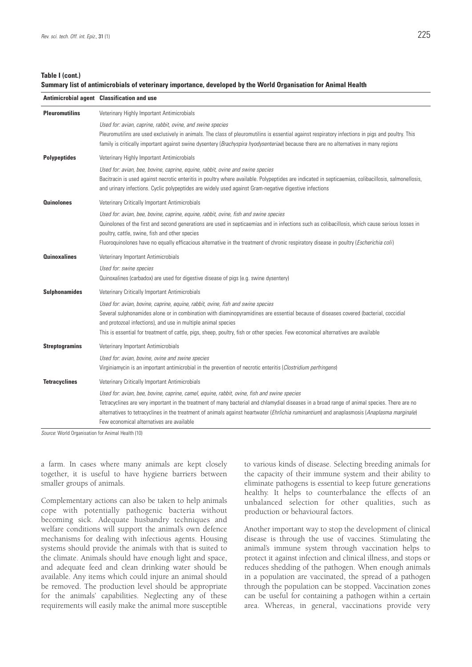#### **Table I (cont.)**

#### **Summary list of antimicrobials of veterinary importance, developed by the World Organisation for Animal Health**

|                       | Antimicrobial agent Classification and use                                                                                                                                                                                                                                                                                                                                                                                                                |
|-----------------------|-----------------------------------------------------------------------------------------------------------------------------------------------------------------------------------------------------------------------------------------------------------------------------------------------------------------------------------------------------------------------------------------------------------------------------------------------------------|
| <b>Pleuromutilins</b> | Veterinary Highly Important Antimicrobials                                                                                                                                                                                                                                                                                                                                                                                                                |
|                       | Used for: avian, caprine, rabbit, ovine, and swine species<br>Pleuromutilins are used exclusively in animals. The class of pleuromutilins is essential against respiratory infections in pigs and poultry. This<br>family is critically important against swine dysentery (Brachyspira hyodysenteriae) because there are no alternatives in many regions                                                                                                  |
| <b>Polypeptides</b>   | Veterinary Highly Important Antimicrobials                                                                                                                                                                                                                                                                                                                                                                                                                |
|                       | Used for: avian, bee, bovine, caprine, equine, rabbit, ovine and swine species<br>Bacitracin is used against necrotic enteritis in poultry where available. Polypeptides are indicated in septicaemias, colibacillosis, salmonellosis,<br>and urinary infections. Cyclic polypeptides are widely used against Gram-negative digestive infections                                                                                                          |
| <b>Quinolones</b>     | Veterinary Critically Important Antimicrobials                                                                                                                                                                                                                                                                                                                                                                                                            |
|                       | Used for: avian, bee, bovine, caprine, equine, rabbit, ovine, fish and swine species<br>Quinolones of the first and second generations are used in septicaemias and in infections such as colibacillosis, which cause serious losses in<br>poultry, cattle, swine, fish and other species<br>Fluoroquinolones have no equally efficacious alternative in the treatment of chronic respiratory disease in poultry (Escherichia coli)                       |
| <b>Quinoxalines</b>   | Veterinary Important Antimicrobials                                                                                                                                                                                                                                                                                                                                                                                                                       |
|                       | Used for: swine species<br>Quinoxalines (carbadox) are used for digestive disease of pigs (e.g. swine dysentery)                                                                                                                                                                                                                                                                                                                                          |
| <b>Sulphonamides</b>  | Veterinary Critically Important Antimicrobials                                                                                                                                                                                                                                                                                                                                                                                                            |
|                       | Used for: avian, bovine, caprine, equine, rabbit, ovine, fish and swine species<br>Several sulphonamides alone or in combination with diaminopyramidines are essential because of diseases covered (bacterial, coccidial<br>and protozoal infections), and use in multiple animal species<br>This is essential for treatment of cattle, pigs, sheep, poultry, fish or other species. Few economical alternatives are available                            |
| <b>Streptogramins</b> | Veterinary Important Antimicrobials                                                                                                                                                                                                                                                                                                                                                                                                                       |
|                       | Used for: avian, bovine, ovine and swine species<br>Virginiamycin is an important antimicrobial in the prevention of necrotic enteritis (Clostridium perfringens)                                                                                                                                                                                                                                                                                         |
| <b>Tetracyclines</b>  | Veterinary Critically Important Antimicrobials                                                                                                                                                                                                                                                                                                                                                                                                            |
|                       | Used for: avian, bee, bovine, caprine, camel, equine, rabbit, ovine, fish and swine species<br>Tetracyclines are very important in the treatment of many bacterial and chlamydial diseases in a broad range of animal species. There are no<br>alternatives to tetracyclines in the treatment of animals against heartwater ( <i>Ehrlichia ruminantium</i> ) and anaplasmosis ( <i>Anaplasma marginale</i> )<br>Few economical alternatives are available |

Source: World Organisation for Animal Health (10)

a farm. In cases where many animals are kept closely together, it is useful to have hygiene barriers between smaller groups of animals.

Complementary actions can also be taken to help animals cope with potentially pathogenic bacteria without becoming sick. Adequate husbandry techniques and welfare conditions will support the animal's own defence mechanisms for dealing with infectious agents. Housing systems should provide the animals with that is suited to the climate. Animals should have enough light and space, and adequate feed and clean drinking water should be available. Any items which could injure an animal should be removed. The production level should be appropriate for the animals' capabilities. Neglecting any of these requirements will easily make the animal more susceptible

to various kinds of disease. Selecting breeding animals for the capacity of their immune system and their ability to eliminate pathogens is essential to keep future generations healthy. It helps to counterbalance the effects of an unbalanced selection for other qualities, such as production or behavioural factors.

Another important way to stop the development of clinical disease is through the use of vaccines. Stimulating the animal's immune system through vaccination helps to protect it against infection and clinical illness, and stops or reduces shedding of the pathogen. When enough animals in a population are vaccinated, the spread of a pathogen through the population can be stopped. Vaccination zones can be useful for containing a pathogen within a certain area. Whereas, in general, vaccinations provide very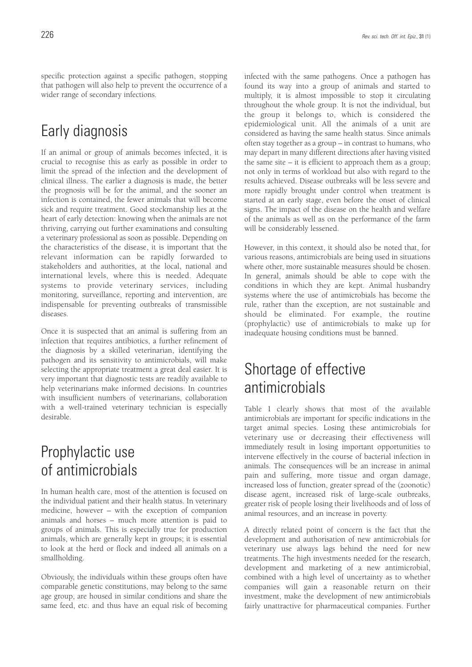specific protection against a specific pathogen, stopping that pathogen will also help to prevent the occurrence of a wider range of secondary infections.

## Early diagnosis

If an animal or group of animals becomes infected, it is crucial to recognise this as early as possible in order to limit the spread of the infection and the development of clinical illness. The earlier a diagnosis is made, the better the prognosis will be for the animal, and the sooner an infection is contained, the fewer animals that will become sick and require treatment. Good stockmanship lies at the heart of early detection: knowing when the animals are not thriving, carrying out further examinations and consulting a veterinary professional as soon as possible. Depending on the characteristics of the disease, it is important that the relevant information can be rapidly forwarded to stakeholders and authorities, at the local, national and international levels, where this is needed. Adequate systems to provide veterinary services, including monitoring, surveillance, reporting and intervention, are indispensable for preventing outbreaks of transmissible diseases.

Once it is suspected that an animal is suffering from an infection that requires antibiotics, a further refinement of the diagnosis by a skilled veterinarian, identifying the pathogen and its sensitivity to antimicrobials, will make selecting the appropriate treatment a great deal easier. It is very important that diagnostic tests are readily available to help veterinarians make informed decisions. In countries with insufficient numbers of veterinarians, collaboration with a well-trained veterinary technician is especially desirable.

### Prophylactic use of antimicrobials

In human health care, most of the attention is focused on the individual patient and their health status. In veterinary medicine, however – with the exception of companion animals and horses – much more attention is paid to groups of animals. This is especially true for production animals, which are generally kept in groups; it is essential to look at the herd or flock and indeed all animals on a smallholding.

Obviously, the individuals within these groups often have comparable genetic constitutions, may belong to the same age group, are housed in similar conditions and share the same feed, etc. and thus have an equal risk of becoming infected with the same pathogens. Once a pathogen has found its way into a group of animals and started to multiply, it is almost impossible to stop it circulating throughout the whole group. It is not the individual, but the group it belongs to, which is considered the epidemiological unit. All the animals of a unit are considered as having the same health status. Since animals often stay together as a group – in contrast to humans, who may depart in many different directions after having visited the same site – it is efficient to approach them as a group; not only in terms of workload but also with regard to the results achieved. Disease outbreaks will be less severe and more rapidly brought under control when treatment is started at an early stage, even before the onset of clinical signs. The impact of the disease on the health and welfare of the animals as well as on the performance of the farm will be considerably lessened.

However, in this context, it should also be noted that, for various reasons, antimicrobials are being used in situations where other, more sustainable measures should be chosen. In general, animals should be able to cope with the conditions in which they are kept. Animal husbandry systems where the use of antimicrobials has become the rule, rather than the exception, are not sustainable and should be eliminated. For example, the routine (prophylactic) use of antimicrobials to make up for inadequate housing conditions must be banned.

## Shortage of effective antimicrobials

Table I clearly shows that most of the available antimicrobials are important for specific indications in the target animal species. Losing these antimicrobials for veterinary use or decreasing their effectiveness will immediately result in losing important opportunities to intervene effectively in the course of bacterial infection in animals. The consequences will be an increase in animal pain and suffering, more tissue and organ damage, increased loss of function, greater spread of the (zoonotic) disease agent, increased risk of large-scale outbreaks, greater risk of people losing their livelihoods and of loss of animal resources, and an increase in poverty.

A directly related point of concern is the fact that the development and authorisation of new antimicrobials for veterinary use always lags behind the need for new treatments. The high investments needed for the research, development and marketing of a new antimicrobial, combined with a high level of uncertainty as to whether companies will gain a reasonable return on their investment, make the development of new antimicrobials fairly unattractive for pharmaceutical companies. Further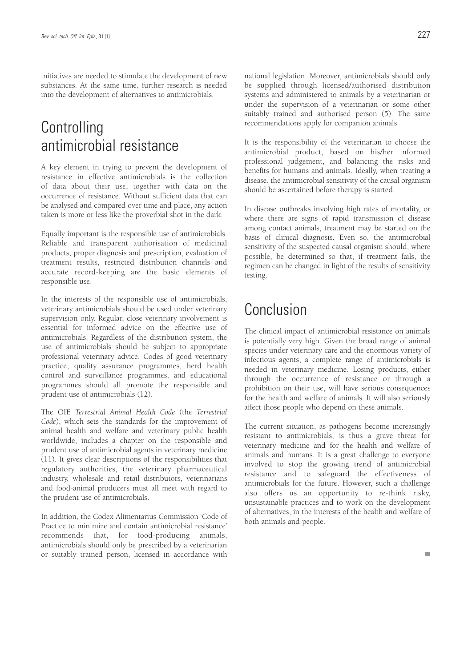initiatives are needed to stimulate the development of new substances. At the same time, further research is needed into the development of alternatives to antimicrobials.

## **Controlling** antimicrobial resistance

A key element in trying to prevent the development of resistance in effective antimicrobials is the collection of data about their use, together with data on the occurrence of resistance. Without sufficient data that can be analysed and compared over time and place, any action taken is more or less like the proverbial shot in the dark.

Equally important is the responsible use of antimicrobials. Reliable and transparent authorisation of medicinal products, proper diagnosis and prescription, evaluation of treatment results, restricted distribution channels and accurate record-keeping are the basic elements of responsible use.

In the interests of the responsible use of antimicrobials, veterinary antimicrobials should be used under veterinary supervision only. Regular, close veterinary involvement is essential for informed advice on the effective use of antimicrobials. Regardless of the distribution system, the use of antimicrobials should be subject to appropriate professional veterinary advice. Codes of good veterinary practice, quality assurance programmes, herd health control and surveillance programmes, and educational programmes should all promote the responsible and prudent use of antimicrobials (12).

The OIE *Terrestrial Animal Health Code* (the *Terrestrial Code*), which sets the standards for the improvement of animal health and welfare and veterinary public health worldwide, includes a chapter on the responsible and prudent use of antimicrobial agents in veterinary medicine (11). It gives clear descriptions of the responsibilities that regulatory authorities, the veterinary pharmaceutical industry, wholesale and retail distributors, veterinarians and food-animal producers must all meet with regard to the prudent use of antimicrobials.

In addition, the Codex Alimentarius Commission 'Code of Practice to minimize and contain antimicrobial resistance' recommends that, for food-producing animals, antimicrobials should only be prescribed by a veterinarian or suitably trained person, licensed in accordance with

national legislation. Moreover, antimicrobials should only be supplied through licensed/authorised distribution systems and administered to animals by a veterinarian or under the supervision of a veterinarian or some other suitably trained and authorised person (5). The same recommendations apply for companion animals.

It is the responsibility of the veterinarian to choose the antimicrobial product, based on his/her informed professional judgement, and balancing the risks and benefits for humans and animals. Ideally, when treating a disease, the antimicrobial sensitivity of the causal organism should be ascertained before therapy is started.

In disease outbreaks involving high rates of mortality, or where there are signs of rapid transmission of disease among contact animals, treatment may be started on the basis of clinical diagnosis. Even so, the antimicrobial sensitivity of the suspected causal organism should, where possible, be determined so that, if treatment fails, the regimen can be changed in light of the results of sensitivity testing.

## Conclusion

The clinical impact of antimicrobial resistance on animals is potentially very high. Given the broad range of animal species under veterinary care and the enormous variety of infectious agents, a complete range of antimicrobials is needed in veterinary medicine. Losing products, either through the occurrence of resistance or through a prohibition on their use, will have serious consequences for the health and welfare of animals. It will also seriously affect those people who depend on these animals.

The current situation, as pathogens become increasingly resistant to antimicrobials, is thus a grave threat for veterinary medicine and for the health and welfare of animals and humans. It is a great challenge to everyone involved to stop the growing trend of antimicrobial resistance and to safeguard the effectiveness of antimicrobials for the future. However, such a challenge also offers us an opportunity to re-think risky, unsustainable practices and to work on the development of alternatives, in the interests of the health and welfare of both animals and people.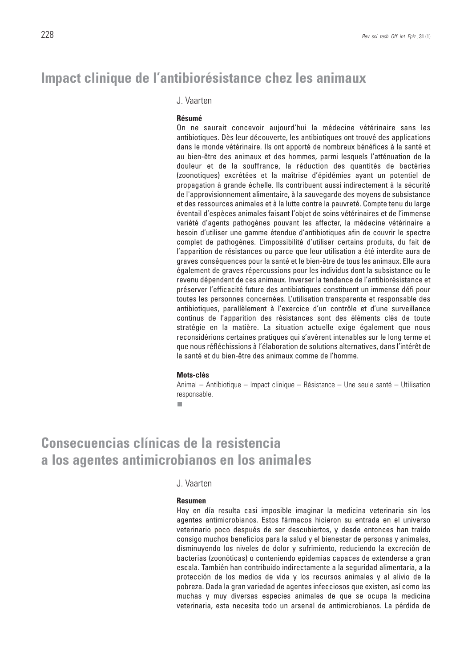### **Impact clinique de l'antibiorésistance chez les animaux**

### J. Vaarten

#### **Résumé**

On ne saurait concevoir aujourd'hui la médecine vétérinaire sans les antibiotiques. Dès leur découverte, les antibiotiques ont trouvé des applications dans le monde vétérinaire. Ils ont apporté de nombreux bénéfices à la santé et au bien-être des animaux et des hommes, parmi lesquels l'atténuation de la douleur et de la souffrance, la réduction des quantités de bactéries (zoonotiques) excrétées et la maîtrise d'épidémies ayant un potentiel de propagation à grande échelle. Ils contribuent aussi indirectement à la sécurité de l'approvisionnement alimentaire, à la sauvegarde des moyens de subsistance et des ressources animales et à la lutte contre la pauvreté. Compte tenu du large éventail d'espèces animales faisant l'objet de soins vétérinaires et de l'immense variété d'agents pathogènes pouvant les affecter, la médecine vétérinaire a besoin d'utiliser une gamme étendue d'antibiotiques afin de couvrir le spectre complet de pathogènes. L'impossibilité d'utiliser certains produits, du fait de l'apparition de résistances ou parce que leur utilisation a été interdite aura de graves conséquences pour la santé et le bien-être de tous les animaux. Elle aura également de graves répercussions pour les individus dont la subsistance ou le revenu dépendent de ces animaux. Inverser la tendance de l'antibiorésistance et préserver l'efficacité future des antibiotiques constituent un immense défi pour toutes les personnes concernées. L'utilisation transparente et responsable des antibiotiques, parallèlement à l'exercice d'un contrôle et d'une surveillance continus de l'apparition des résistances sont des éléments clés de toute stratégie en la matière. La situation actuelle exige également que nous reconsidérions certaines pratiques qui s'avèrent intenables sur le long terme et que nous réfléchissions à l'élaboration de solutions alternatives, dans l'intérêt de la santé et du bien-être des animaux comme de l'homme.

#### **Mots-clés**

Animal – Antibiotique – Impact clinique – Résistance – Une seule santé – Utilisation responsable.

### п

### **Consecuencias clínicas de la resistencia a los agentes antimicrobianos en los animales**

### J. Vaarten

### **Resumen**

Hoy en día resulta casi imposible imaginar la medicina veterinaria sin los agentes antimicrobianos. Estos fármacos hicieron su entrada en el universo veterinario poco después de ser descubiertos, y desde entonces han traído consigo muchos beneficios para la salud y el bienestar de personas y animales, disminuyendo los niveles de dolor y sufrimiento, reduciendo la excreción de bacterias (zoonóticas) o conteniendo epidemias capaces de extenderse a gran escala. También han contribuido indirectamente a la seguridad alimentaria, a la protección de los medios de vida y los recursos animales y al alivio de la pobreza. Dada la gran variedad de agentes infecciosos que existen, así como las muchas y muy diversas especies animales de que se ocupa la medicina veterinaria, esta necesita todo un arsenal de antimicrobianos. La pérdida de